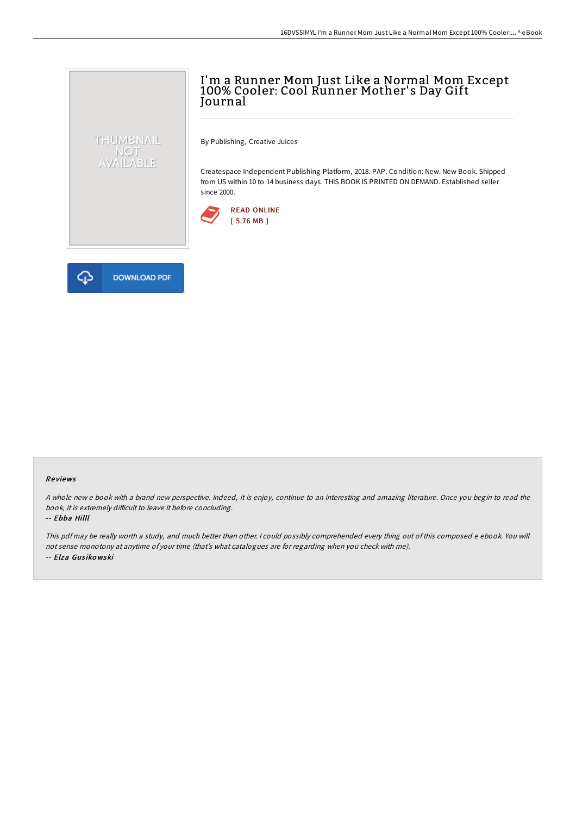# I'm a Runner Mom Just Like a Normal Mom Except 100% Cooler: Cool Runner Mother's Day Gift Journal

By Publishing, Creative Juices

Createspace Independent Publishing Platform, 2018. PAP. Condition: New. New Book. Shipped from US within 10 to 14 business days. THIS BOOK IS PRINTED ON DEMAND. Established seller since 2000.





THUMBNAIL NOT<br>AVAILABLE

#### Re views

A whole new <sup>e</sup> book with <sup>a</sup> brand new perspective. Indeed, it is enjoy, continue to an interesting and amazing literature. Once you begin to read the book, it is extremely difficult to leave it before concluding.

#### -- Ebba Hilll

This pdf may be really worth <sup>a</sup> study, and much better than other. <sup>I</sup> could possibly comprehended every thing out of this composed <sup>e</sup> ebook. You will not sense monotony at anytime of your time (that's what catalogues are for regarding when you check with me). -- Elza Gus iko wski